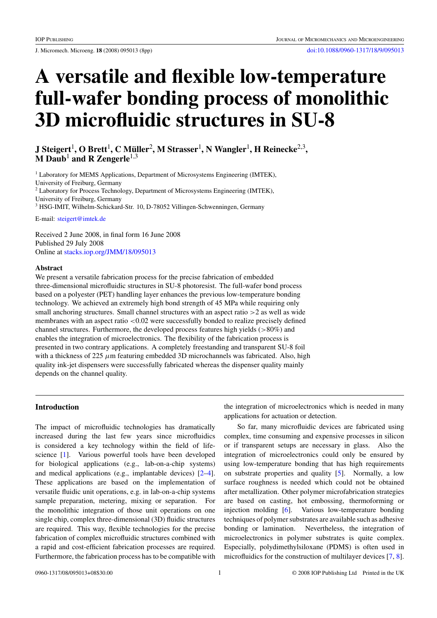# **A versatile and flexible low-temperature full-wafer bonding process of monolithic 3D microfluidic structures in SU-8**

**J Steigert**1**, O Brett**1**,CMuller ¨** <sup>2</sup>**, M Strasser**1**, N Wangler**1**, H Reinecke**2,3**, M Daub**<sup>1</sup> **and R Zengerle**1,3

<sup>1</sup> Laboratory for MEMS Applications, Department of Microsystems Engineering (IMTEK), University of Freiburg, Germany <sup>2</sup> Laboratory for Process Technology, Department of Microsystems Engineering (IMTEK), University of Freiburg, Germany <sup>3</sup> HSG-IMIT, Wilhelm-Schickard-Str. 10, D-78052 Villingen-Schwenningen, Germany

E-mail: [steigert@imtek.de](mailto:steigert@imtek.de)

Received 2 June 2008, in final form 16 June 2008 Published 29 July 2008 Online at [stacks.iop.org/JMM/18/095013](http://stacks.iop.org/JMM/18/095013)

# **Abstract**

We present a versatile fabrication process for the precise fabrication of embedded three-dimensional microfluidic structures in SU-8 photoresist. The full-wafer bond process based on a polyester (PET) handling layer enhances the previous low-temperature bonding technology. We achieved an extremely high bond strength of 45 MPa while requiring only small anchoring structures. Small channel structures with an aspect ratio *>*2 as well as wide membranes with an aspect ratio  $\langle 0.02 \rangle$  were successfully bonded to realize precisely defined channel structures. Furthermore, the developed process features high yields (*>*80%) and enables the integration of microelectronics. The flexibility of the fabrication process is presented in two contrary applications. A completely freestanding and transparent SU-8 foil with a thickness of 225  $\mu$ m featuring embedded 3D microchannels was fabricated. Also, high quality ink-jet dispensers were successfully fabricated whereas the dispenser quality mainly depends on the channel quality.

# **Introduction**

The impact of microfluidic technologies has dramatically increased during the last few years since microfluidics is considered a key technology within the field of lifescience [\[1](#page-6-0)]. Various powerful tools have been developed for biological applications (e.g., lab-on-a-chip systems) and medical applications (e.g., implantable devices) [\[2–4](#page-6-0)]. These applications are based on the implementation of versatile fluidic unit operations, e.g. in lab-on-a-chip systems sample preparation, metering, mixing or separation. For the monolithic integration of those unit operations on one single chip, complex three-dimensional (3D) fluidic structures are required. This way, flexible technologies for the precise fabrication of complex microfluidic structures combined with a rapid and cost-efficient fabrication processes are required. Furthermore, the fabrication process has to be compatible with

the integration of microelectronics which is needed in many applications for actuation or detection.

So far, many microfluidic devices are fabricated using complex, time consuming and expensive processes in silicon or if transparent setups are necessary in glass. Also the integration of microelectronics could only be ensured by using low-temperature bonding that has high requirements on substrate properties and quality [\[5\]](#page-6-0). Normally, a low surface roughness is needed which could not be obtained after metallization. Other polymer microfabrication strategies are based on casting, hot embossing, thermoforming or injection molding [\[6](#page-6-0)]. Various low-temperature bonding techniques of polymer substrates are available such as adhesive bonding or lamination. Nevertheless, the integration of microelectronics in polymer substrates is quite complex. Especially, polydimethylsiloxane (PDMS) is often used in microfluidics for the construction of multilayer devices [\[7,](#page-6-0) [8](#page-6-0)].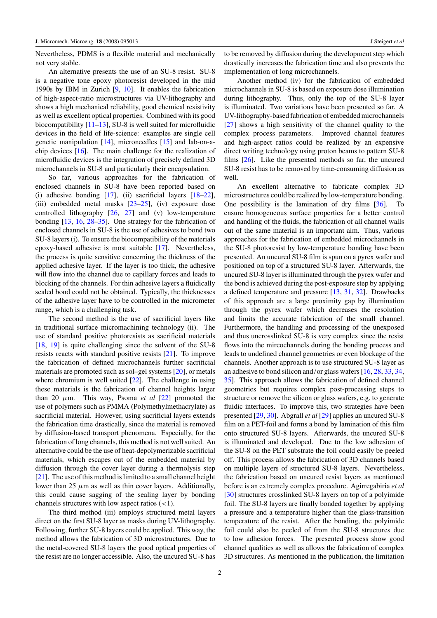Nevertheless, PDMS is a flexible material and mechanically not very stable.

An alternative presents the use of an SU-8 resist. SU-8 is a negative tone epoxy photoresist developed in the mid 1990s by IBM in Zurich [\[9,](#page-6-0) [10](#page-6-0)]. It enables the fabrication of high-aspect-ratio microstructures via UV-lithography and shows a high mechanical reliability, good chemical resistivity as well as excellent optical properties. Combined with its good biocompatibility  $[11-13]$ , SU-8 is well suited for microfluidic devices in the field of life-science: examples are single cell genetic manipulation [\[14\]](#page-6-0), microneedles [\[15](#page-6-0)] and lab-on-achip devices [\[16\]](#page-6-0). The main challenge for the realization of microfluidic devices is the integration of precisely defined 3D microchannels in SU-8 and particularly their encapsulation.

So far, various approaches for the fabrication of enclosed channels in SU-8 have been reported based on (i) adhesive bonding [\[17](#page-6-0)], (ii) sacrificial layers [\[18](#page-6-0)[–22](#page-7-0)], (iii) embedded metal masks [\[23–25\]](#page-7-0), (iv) exposure dose controlled lithography [\[26](#page-7-0), [27\]](#page-7-0) and (v) low-temperature bonding [\[13](#page-6-0), [16,](#page-6-0) [28–35](#page-7-0)]. One strategy for the fabrication of enclosed channels in SU-8 is the use of adhesives to bond two SU-8 layers (i). To ensure the biocompatibility of the materials epoxy-based adhesive is most suitable [\[17\]](#page-6-0). Nevertheless, the process is quite sensitive concerning the thickness of the applied adhesive layer. If the layer is too thick, the adhesive will flow into the channel due to capillary forces and leads to blocking of the channels. For thin adhesive layers a fluidically sealed bond could not be obtained. Typically, the thicknesses of the adhesive layer have to be controlled in the micrometer range, which is a challenging task.

The second method is the use of sacrificial layers like in traditional surface micromachining technology (ii). The use of standard positive photoresists as sacrificial materials [\[18](#page-6-0), [19](#page-6-0)] is quite challenging since the solvent of the SU-8 resists reacts with standard positive resists [\[21\]](#page-6-0). To improve the fabrication of defined microchannels further sacrificial materials are promoted such as sol–gel systems [\[20](#page-6-0)], or metals where chromium is well suited [\[22\]](#page-7-0). The challenge in using these materials is the fabrication of channel heights larger than 20  $\mu$ m. This way, Psoma *et al* [\[22\]](#page-7-0) promoted the use of polymers such as PMMA (Polymethylmethacrylate) as sacrificial material. However, using sacrificial layers extends the fabrication time drastically, since the material is removed by diffusion-based transport phenomena. Especially, for the fabrication of long channels, this method is not well suited. An alternative could be the use of heat-depolymerizable sacrificial materials, which escapes out of the embedded material by diffusion through the cover layer during a thermolysis step [\[21](#page-6-0)]. The use of this method is limited to a small channel height lower than 25  $\mu$ m as well as thin cover layers. Additionally, this could cause sagging of the sealing layer by bonding channels structures with low aspect ratios (*<*1).

The third method (iii) employs structured metal layers direct on the first SU-8 layer as masks during UV-lithography. Following, further SU-8 layers could be applied. This way, the method allows the fabrication of 3D microstructures. Due to the metal-covered SU-8 layers the good optical properties of the resist are no longer accessible. Also, the uncured SU-8 has to be removed by diffusion during the development step which drastically increases the fabrication time and also prevents the implementation of long microchannels.

Another method (iv) for the fabrication of embedded microchannels in SU-8 is based on exposure dose illumination during lithography. Thus, only the top of the SU-8 layer is illuminated. Two variations have been presented so far. A UV-lithography-based fabrication of embedded microchannels [\[27](#page-7-0)] shows a high sensitivity of the channel quality to the complex process parameters. Improved channel features and high-aspect ratios could be realized by an expensive direct writing technology using proton beams to pattern SU-8 films [\[26](#page-7-0)]. Like the presented methods so far, the uncured SU-8 resist has to be removed by time-consuming diffusion as well.

An excellent alternative to fabricate complex 3D microstructures could be realized by low-temperature bonding. One possibility is the lamination of dry films [\[36](#page-7-0)]. To ensure homogeneous surface properties for a better control and handling of the fluids, the fabrication of all channel walls out of the same material is an important aim. Thus, various approaches for the fabrication of embedded microchannels in the SU-8 photoresist by low-temperature bonding have been presented. An uncured SU-8 film is spun on a pyrex wafer and positioned on top of a structured SU-8 layer. Afterwards, the uncured SU-8 layer is illuminated through the pyrex wafer and the bond is achieved during the post-exposure step by applying a defined temperature and pressure [\[13,](#page-6-0) [31,](#page-7-0) [32](#page-7-0)]. Drawbacks of this approach are a large proximity gap by illumination through the pyrex wafer which decreases the resolution and limits the accurate fabrication of the small channel. Furthermore, the handling and processing of the unexposed and thus uncrosslinked SU-8 is very complex since the resist flows into the mircochannels during the bonding process and leads to undefined channel geometries or even blockage of the channels. Another approach is to use structured SU-8 layer as an adhesive to bond silicon and*/*or glass wafers [\[16,](#page-6-0) [28,](#page-7-0) [33](#page-7-0), [34,](#page-7-0) [35](#page-7-0)]. This approach allows the fabrication of defined channel geometries but requires complex post-processing steps to structure or remove the silicon or glass wafers, e.g. to generate fluidic interfaces. To improve this, two strategies have been presented [\[29,](#page-7-0) [30](#page-7-0)]. Abgrall *et al* [\[29\]](#page-7-0) applies an uncured SU-8 film on a PET-foil and forms a bond by lamination of this film onto structured SU-8 layers. Afterwards, the uncured SU-8 is illuminated and developed. Due to the low adhesion of the SU-8 on the PET substrate the foil could easily be peeled off. This process allows the fabrication of 3D channels based on multiple layers of structured SU-8 layers. Nevertheless, the fabrication based on uncured resist layers as mentioned before is an extremely complex procedure. Agirregabiria *et al* [\[30](#page-7-0)] structures crosslinked SU-8 layers on top of a polyimide foil. The SU-8 layers are finally bonded together by applying a pressure and a temperature higher than the glass-transition temperature of the resist. After the bonding, the polyimide foil could also be peeled of from the SU-8 structures due to low adhesion forces. The presented process show good channel qualities as well as allows the fabrication of complex 3D structures. As mentioned in the publication, the limitation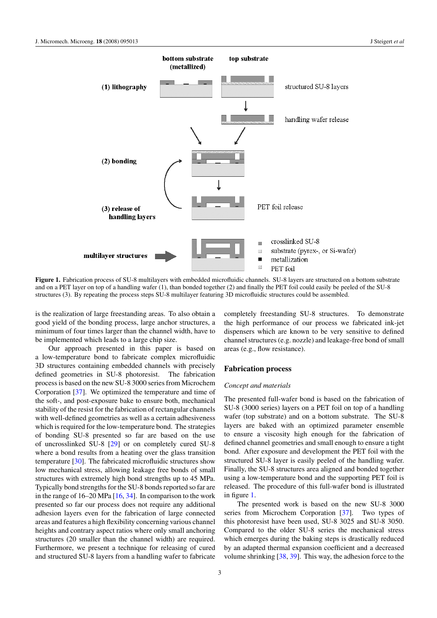

Figure 1. Fabrication process of SU-8 multilayers with embedded microfluidic channels. SU-8 layers are structured on a bottom substrate and on a PET layer on top of a handling wafer (1), than bonded together (2) and finally the PET foil could easily be peeled of the SU-8 structures (3). By repeating the process steps SU-8 multilayer featuring 3D microfluidic structures could be assembled.

is the realization of large freestanding areas. To also obtain a good yield of the bonding process, large anchor structures, a minimum of four times larger than the channel width, have to be implemented which leads to a large chip size.

Our approach presented in this paper is based on a low-temperature bond to fabricate complex microfluidic 3D structures containing embedded channels with precisely defined geometries in SU-8 photoresist. The fabrication process is based on the new SU-8 3000 series from Microchem Corporation [\[37](#page-7-0)]. We optimized the temperature and time of the soft-, and post-exposure bake to ensure both, mechanical stability of the resist for the fabrication of rectangular channels with well-defined geometries as well as a certain adhesiveness which is required for the low-temperature bond. The strategies of bonding SU-8 presented so far are based on the use of uncrosslinked SU-8 [\[29](#page-7-0)] or on completely cured SU-8 where a bond results from a heating over the glass transition temperature [\[30](#page-7-0)]. The fabricated microfluidic structures show low mechanical stress, allowing leakage free bonds of small structures with extremely high bond strengths up to 45 MPa. Typically bond strengths for the SU-8 bonds reported so far are in the range of  $16-20$  MPa  $[16, 34]$  $[16, 34]$  $[16, 34]$  $[16, 34]$ . In comparison to the work presented so far our process does not require any additional adhesion layers even for the fabrication of large connected areas and features a high flexibility concerning various channel heights and contrary aspect ratios where only small anchoring structures (20 smaller than the channel width) are required. Furthermore, we present a technique for releasing of cured and structured SU-8 layers from a handling wafer to fabricate

completely freestanding SU-8 structures. To demonstrate the high performance of our process we fabricated ink-jet dispensers which are known to be very sensitive to defined channel structures (e.g. nozzle) and leakage-free bond of small areas (e.g., flow resistance).

## **Fabrication process**

## *Concept and materials*

The presented full-wafer bond is based on the fabrication of SU-8 (3000 series) layers on a PET foil on top of a handling wafer (top substrate) and on a bottom substrate. The SU-8 layers are baked with an optimized parameter ensemble to ensure a viscosity high enough for the fabrication of defined channel geometries and small enough to ensure a tight bond. After exposure and development the PET foil with the structured SU-8 layer is easily peeled of the handling wafer. Finally, the SU-8 structures area aligned and bonded together using a low-temperature bond and the supporting PET foil is released. The procedure of this full-wafer bond is illustrated in figure 1.

The presented work is based on the new SU-8 3000 series from Microchem Corporation [\[37](#page-7-0)]. Two types of this photoresist have been used, SU-8 3025 and SU-8 3050. Compared to the older SU-8 series the mechanical stress which emerges during the baking steps is drastically reduced by an adapted thermal expansion coefficient and a decreased volume shrinking [\[38,](#page-7-0) [39](#page-7-0)]. This way, the adhesion force to the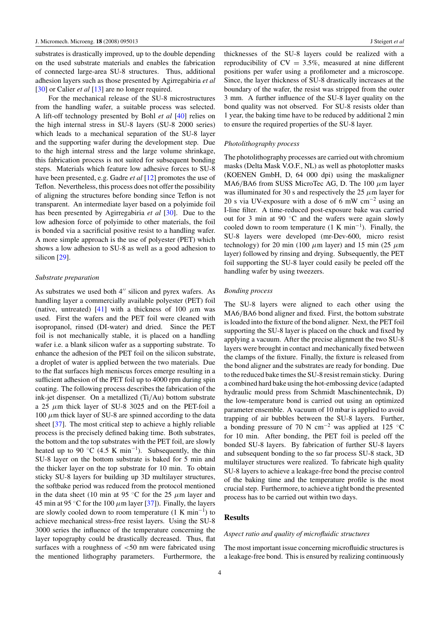substrates is drastically improved, up to the double depending on the used substrate materials and enables the fabrication of connected large-area SU-8 structures. Thus, additional adhesion layers such as those presented by Agirregabiria *et al* [\[30](#page-7-0)] or Calier *et al* [\[13](#page-6-0)] are no longer required.

For the mechanical release of the SU-8 microstructures from the handling wafer, a suitable process was selected. A lift-off technology presented by Bohl *et al* [\[40\]](#page-7-0) relies on the high internal stress in SU-8 layers (SU-8 2000 series) which leads to a mechanical separation of the SU-8 layer and the supporting wafer during the development step. Due to the high internal stress and the large volume shrinkage, this fabrication process is not suited for subsequent bonding steps. Materials which feature low adhesive forces to SU-8 have been presented, e.g. Gadre *et al* [\[12\]](#page-6-0) promotes the use of Teflon. Nevertheless, this process does not offer the possibility of aligning the structures before bonding since Teflon is not transparent. An intermediate layer based on a polyimide foil has been presented by Agirregabiria *et al* [\[30](#page-7-0)]. Due to the low adhesion force of polyimide to other materials, the foil is bonded via a sacrificial positive resist to a handling wafer. A more simple approach is the use of polyester (PET) which shows a low adhesion to SU-8 as well as a good adhesion to silicon [\[29](#page-7-0)].

## *Substrate preparation*

As substrates we used both  $4''$  silicon and pyrex wafers. As handling layer a commercially available polyester (PET) foil (native, untreated) [\[41](#page-7-0)] with a thickness of 100  $\mu$ m was used. First the wafers and the PET foil were cleaned with isopropanol, rinsed (DI-water) and dried. Since the PET foil is not mechanically stable, it is placed on a handling wafer i.e. a blank silicon wafer as a supporting substrate. To enhance the adhesion of the PET foil on the silicon substrate, a droplet of water is applied between the two materials. Due to the flat surfaces high meniscus forces emerge resulting in a sufficient adhesion of the PET foil up to 4000 rpm during spin coating. The following process describes the fabrication of the ink-jet dispenser. On a metallized (Ti*/*Au) bottom substrate a 25 *µ*m thick layer of SU-8 3025 and on the PET-foil a  $100 \mu m$  thick layer of SU-8 are spinned according to the data sheet [\[37\]](#page-7-0). The most critical step to achieve a highly reliable process is the precisely defined baking time. Both substrates, the bottom and the top substrates with the PET foil, are slowly heated up to 90  $\degree$ C (4.5 K min<sup>-1</sup>). Subsequently, the thin SU-8 layer on the bottom substrate is baked for 5 min and the thicker layer on the top substrate for 10 min. To obtain sticky SU-8 layers for building up 3D multilayer structures, the softbake period was reduced from the protocol mentioned in the data sheet (10 min at 95  $\degree$ C for the 25  $\mu$ m layer and 45 min at 95 °C for the 100  $\mu$ m layer [\[37](#page-7-0)]). Finally, the layers are slowly cooled down to room temperature  $(1 K min^{-1})$  to achieve mechanical stress-free resist layers. Using the SU-8 3000 series the influence of the temperature concerning the layer topography could be drastically decreased. Thus, flat surfaces with a roughness of *<*50 nm were fabricated using the mentioned lithography parameters. Furthermore, the thicknesses of the SU-8 layers could be realized with a reproducibility of  $CV = 3.5\%$ , measured at nine different positions per wafer using a profilometer and a microscope. Since, the layer thickness of SU-8 drastically increases at the boundary of the wafer, the resist was stripped from the outer 3 mm. A further influence of the SU-8 layer quality on the bond quality was not observed. For SU-8 resists older than 1 year, the baking time have to be reduced by additional 2 min to ensure the required properties of the SU-8 layer.

#### *Photolithography process*

The photolithography processes are carried out with chromium masks (Delta Mask V.O.F., NL) as well as photoplotter masks (KOENEN GmbH, D, 64 000 dpi) using the maskaligner MA6*/*BA6 from SUSS MicroTec AG, D. The 100 *µ*m layer was illuminated for 30 s and respectively the 25  $\mu$ m layer for 20 s via UV-exposure with a dose of 6 mW cm<sup>-2</sup> using an I-line filter. A time-reduced post-exposure bake was carried out for 3 min at 90  $\degree$ C and the wafers were again slowly cooled down to room temperature  $(1 K min<sup>-1</sup>)$ . Finally, the SU-8 layers were developed (mr-Dev-600, micro resist technology) for 20 min (100  $\mu$ m layer) and 15 min (25  $\mu$ m layer) followed by rinsing and drying. Subsequently, the PET foil supporting the SU-8 layer could easily be peeled off the handling wafer by using tweezers.

### *Bonding process*

The SU-8 layers were aligned to each other using the MA6*/*BA6 bond aligner and fixed. First, the bottom substrate is loaded into the fixture of the bond aligner. Next, the PET foil supporting the SU-8 layer is placed on the chuck and fixed by applying a vacuum. After the precise alignment the two SU-8 layers were brought in contact and mechanically fixed between the clamps of the fixture. Finally, the fixture is released from the bond aligner and the substrates are ready for bonding. Due to the reduced bake times the SU-8 resist remain sticky. During a combined hard bake using the hot-embossing device (adapted hydraulic mould press from Schmidt Maschinentechnik, D) the low-temperature bond is carried out using an optimized parameter ensemble. A vacuum of 10 mbar is applied to avoid trapping of air bubbles between the SU-8 layers. Further, a bonding pressure of 70 N cm<sup>-2</sup> was applied at 125 °C for 10 min. After bonding, the PET foil is peeled off the bonded SU-8 layers. By fabrication of further SU-8 layers and subsequent bonding to the so far process SU-8 stack, 3D multilayer structures were realized. To fabricate high quality SU-8 layers to achieve a leakage-free bond the precise control of the baking time and the temperature profile is the most crucial step. Furthermore, to achieve a tight bond the presented process has to be carried out within two days.

# **Results**

#### *Aspect ratio and quality of microfluidic structures*

The most important issue concerning microfluidic structures is a leakage-free bond. This is ensured by realizing continuously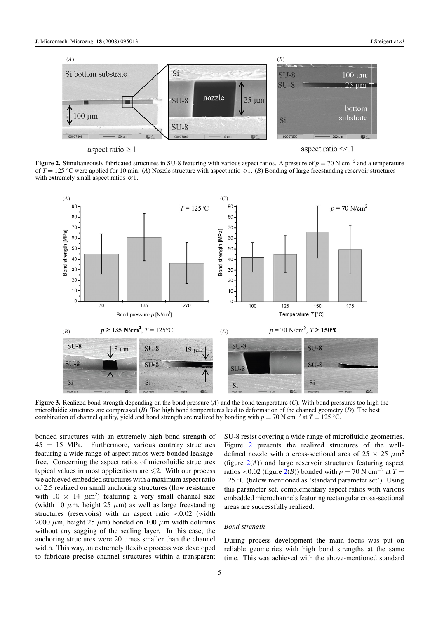<span id="page-4-0"></span>

aspect ratio  $\geq 1$ 

aspect ratio  $<< 1$ 

**Figure 2.** Simultaneously fabricated structures in SU-8 featuring with various aspect ratios. A pressure of *p* = 70 N cm−<sup>2</sup> and a temperature of  $T = 125$  °C were applied for 10 min. (*A*) Nozzle structure with aspect ratio  $\geq 1$ . (*B*) Bonding of large freestanding reservoir structures with extremely small aspect ratios  $\ll 1$ .



**Figure 3.** Realized bond strength depending on the bond pressure (*A*) and the bond temperature (*C*). With bond pressures too high the microfluidic structures are compressed (*B*). Too high bond temperatures lead to deformation of the channel geometry (*D*). The best combination of channel quality, yield and bond strength are realized by bonding with *p* = 70 N cm−<sup>2</sup> at *T* = 125 ◦C.

bonded structures with an extremely high bond strength of  $45 \pm 15$  MPa. Furthermore, various contrary structures featuring a wide range of aspect ratios were bonded leakagefree. Concerning the aspect ratios of microfluidic structures typical values in most applications are  $\leq 2$ . With our process we achieved embedded structures with a maximum aspect ratio of 2.5 realized on small anchoring structures (flow resistance with  $10 \times 14 \ \mu \text{m}^2$ ) featuring a very small channel size (width 10  $\mu$ m, height 25  $\mu$ m) as well as large freestanding structures (reservoirs) with an aspect ratio *<*0.02 (width 2000  $\mu$ m, height 25  $\mu$ m) bonded on 100  $\mu$ m width columns without any sagging of the sealing layer. In this case, the anchoring structures were 20 times smaller than the channel width. This way, an extremely flexible process was developed to fabricate precise channel structures within a transparent

SU-8 resist covering a wide range of microfluidic geometries. Figure 2 presents the realized structures of the welldefined nozzle with a cross-sectional area of  $25 \times 25 \mu m^2$ (figure 2(*A*)) and large reservoir structures featuring aspect ratios <0.02 (figure  $2(B)$ ) bonded with  $p = 70$  N cm<sup>-2</sup> at  $T =$ 125 ◦C (below mentioned as 'standard parameter set'). Using this parameter set, complementary aspect ratios with various embedded microchannels featuring rectangular cross-sectional areas are successfully realized.

#### *Bond strength*

During process development the main focus was put on reliable geometries with high bond strengths at the same time. This was achieved with the above-mentioned standard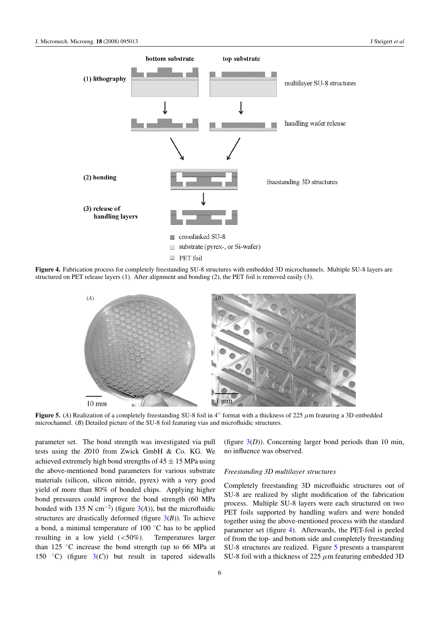

**Figure 4.** Fabrication process for completely freestanding SU-8 structures with embedded 3D microchannels. Multiple SU-8 layers are structured on PET release layers (1). After alignment and bonding (2), the PET foil is removed easily (3).



**Figure 5.** (*A*) Realization of a completely freestanding SU-8 foil in 4" format with a thickness of 225  $\mu$ m featuring a 3D embedded microchannel. (*B*) Detailed picture of the SU-8 foil featuring vias and microfluidic structures.

parameter set. The bond strength was investigated via pull tests using the *Z*010 from Zwick GmbH & Co. KG. We achieved extremely high bond strengths of  $45 \pm 15$  MPa using the above-mentioned bond parameters for various substrate materials (silicon, silicon nitride, pyrex) with a very good yield of more than 80% of bonded chips. Applying higher bond pressures could improve the bond strength (60 MPa bonded with 135 N cm<sup>-2</sup>) (figure [3\(](#page-4-0)A)), but the microfluidic structures are drastically deformed (figure [3\(](#page-4-0)*B*)). To achieve a bond, a minimal temperature of 100 ◦C has to be applied resulting in a low yield (*<*50%). Temperatures larger than 125 ◦C increase the bond strength (up to 66 MPa at 150  $\degree$ C) (figure  $3(C)$  $3(C)$ ) but result in tapered sidewalls

(figure  $3(D)$  $3(D)$ ). Concerning larger bond periods than 10 min, no influence was observed.

## *Freestanding 3D multilayer structures*

Completely freestanding 3D microfluidic structures out of SU-8 are realized by slight modification of the fabrication process. Multiple SU-8 layers were each structured on two PET foils supported by handling wafers and were bonded together using the above-mentioned process with the standard parameter set (figure 4). Afterwards, the PET-foil is peeled of from the top- and bottom side and completely freestanding SU-8 structures are realized. Figure 5 presents a transparent SU-8 foil with a thickness of 225 *µ*m featuring embedded 3D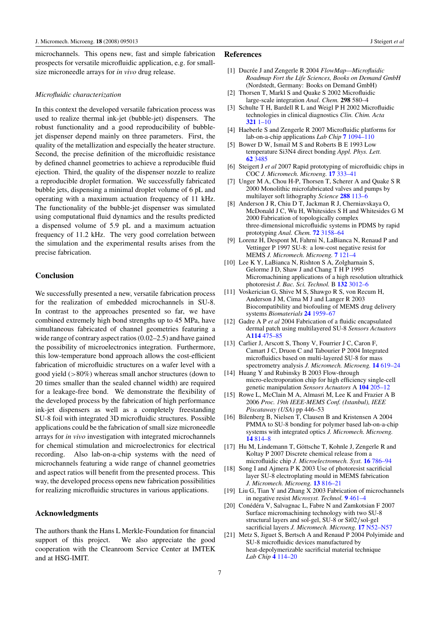<span id="page-6-0"></span>microchannels. This opens new, fast and simple fabrication prospects for versatile microfluidic application, e.g. for smallsize microneedle arrays for *in vivo* drug release.

## *Microfluidic characterization*

In this context the developed versatile fabrication process was used to realize thermal ink-jet (bubble-jet) dispensers. The robust functionality and a good reproducibility of bubblejet dispenser depend mainly on three parameters. First, the quality of the metallization and especially the heater structure. Second, the precise definition of the microfluidic resistance by defined channel geometries to achieve a reproducible fluid ejection. Third, the quality of the dispenser nozzle to realize a reproducible droplet formation. We successfully fabricated bubble jets, dispensing a minimal droplet volume of 6 pL and operating with a maximum actuation frequency of 11 kHz. The functionality of the bubble-jet dispenser was simulated using computational fluid dynamics and the results predicted a dispensed volume of 5.9 pL and a maximum actuation frequency of 11.2 kHz. The very good correlation between the simulation and the experimental results arises from the precise fabrication.

## **Conclusion**

We successfully presented a new, versatile fabrication process for the realization of embedded microchannels in SU-8. In contrast to the approaches presented so far, we have combined extremely high bond strengths up to 45 MPa, have simultaneous fabricated of channel geometries featuring a wide range of contrary aspect ratios (0.02–2.5) and have gained the possibility of microelectronics integration. Furthermore, this low-temperature bond approach allows the cost-efficient fabrication of microfluidic structures on a wafer level with a good yield (*>*80%) whereas small anchor structures (down to 20 times smaller than the sealed channel width) are required for a leakage-free bond. We demonstrate the flexibility of the developed process by the fabrication of high performance ink-jet dispensers as well as a completely freestanding SU-8 foil with integrated 3D microfluidic structures. Possible applications could be the fabrication of small size microneedle arrays for *in vivo* investigation with integrated microchannels for chemical stimulation and microelectronics for electrical recording. Also lab-on-a-chip systems with the need of microchannels featuring a wide range of channel geometries and aspect ratios will benefit from the presented process. This way, the developed process opens new fabrication possibilities for realizing microfluidic structures in various applications.

# **Acknowledgments**

The authors thank the Hans L Merkle-Foundation for financial support of this project. We also appreciate the good cooperation with the Cleanroom Service Center at IMTEK and at HSG-IMIT.

## **References**

- [1] Ducrée J and Zengerle R 2004 *FlowMap—Microfluidic Roadmap Fort the Life Sciences, Books on Demand GmbH* (Nordstedt, Germany: Books on Demand GmbH)
- [2] Thorsen T, Markl S and Quake S 2002 Microfluidic large-scale integration *Anal. Chem.* **298** 580–4
- [3] Schulte T H, Bardell R L and Weigl P H 2002 Microfluidic technologies in clinical diagnostics *Clin. Chim. Acta* **321** [1–10](http://dx.doi.org/10.1016/S0009-8981(02)00093-1)
- [4] Haeberle S and Zengerle R 2007 Microfluidic platforms for lab-on-a-chip applications *Lab Chip* **7** [1094–110](http://dx.doi.org/10.1039/b706364b)
- [5] Bower D W, Ismail M S and Roberts B E 1993 Low temperature Si3N4 direct bonding *Appl. Phys. Lett.* **62** [3485](http://dx.doi.org/10.1063/1.109002)
- [6] Steigert J *et al* 2007 Rapid prototyping of microfluidic chips in COC *J. Micromech. Microeng.* **17** [333–41](http://dx.doi.org/10.1088/0960-1317/17/2/020)
- [7] Unger M A, Chou H-P, Thorsen T, Scherer A and Quake S R 2000 Monolithic microfabricated valves and pumps by multilayer soft lithography *Science* **288** [113–6](http://dx.doi.org/10.1126/science.288.5463.113)
- [8] Anderson J R, Chiu D T, Jackman R J, Cherniavskaya O, McDonald J C, Wu H, Whitesides S H and Whitesides G M 2000 Fabrication of topologically complex three-dimensional microfluidic systems in PDMS by rapid prototyping *Anal. Chem.* **72** [3158–64](http://dx.doi.org/10.1021/ac9912294)
- [9] Lorenz H, Despont M, Fahrni N, LaBianca N, Renaud P and Vettinger P 1997 SU-8: a low-cost negative resist for MEMS *J. Micromech. Microeng.* **7** [121–4](http://dx.doi.org/10.1088/0960-1317/7/3/010)
- [10] Lee K Y, LaBianca N, Rishton S A, Zolgharnain S, Gelorme J D, Shaw J and Chang T H P 1995 Micromachining applications of a high resolution ultrathick photoresist *J. Bac. Sci. Technol.* B **132** [3012–6](http://dx.doi.org/10.1116/1.588297)
- [11] Voskerician G, Shive M S, Shawgo R S, von Recum H, Anderson J M, Cima M J and Langer R 2003 Biocompatibility and biofouling of MEMS drug delivery systems *Biomaterials* **24** [1959–67](http://dx.doi.org/10.1016/S0142-9612(02)00565-3)
- [12] Gadre A P *et al* 2004 Fabrication of a fluidic encapsulated dermal patch using multilayered SU-8 *Sensors Actuators* A**114** [475–85](http://dx.doi.org/10.1016/j.sna.2004.01.049)
- [13] Carlier J, Arscott S, Thony V, Fourrier J C, Caron F, Camart J C, Druon C and Tabourier P 2004 Integrated microfluidics based on multi-layered SU-8 for mass spectrometry analysis *J. Micromech. Microeng.* **14** [619–24](http://dx.doi.org/10.1088/0960-1317/14/4/024)
- [14] Huang Y and Rubinsky B 2003 Flow-through micro-electroporation chip for high efficiency single-cell genetic manipulation *Sensors Actuators* A **104** [205–12](http://dx.doi.org/10.1016/S0924-4247(03)00050-5)
- [15] Rowe L, McClain M A, Almasri M, Lee K and Frazier A B 2006 *Proc. 19th IEEE-MEMS Conf. (Istanbul), IEEE Piscataway (USA)* pp 446–53
- [16] Bilenberg B, Nielsen T, Clausen B and Kristensen A 2004 PMMA to SU-8 bonding for polymer based lab-on-a-chip systems with integrated optics *J. Micromech. Microeng.* **14** [814–8](http://dx.doi.org/10.1088/0960-1317/14/6/008)
- [17] Hu M, Lindemann T, Göttsche T, Kohnle J, Zengerle R and Koltay P 2007 Discrete chemical release from a microfluidic chip *J. Microelectromech. Syst.* **16** [786–94](http://dx.doi.org/10.1109/JMEMS.2007.892911)
- [18] Song I and Ajmera P K 2003 Use of photoresist sacrificial layer SU-8 electroplating mould in MEMS fabrication *J. Micromech. Microeng.* **13** [816–21](http://dx.doi.org/10.1088/0960-1317/13/6/304)
- [19] Liu G, Tian Y and Zhang X 2003 Fabrication of microchannels in negative resist *Microsyst. Technol.* **9** [461–4](http://dx.doi.org/10.1007/s00542-002-0258-7)
- [20] Conédéra V, Salvagnac L, Fabre N and Zamkotsian F 2007 Surface micromachining technology with two SU-8 structural layers and sol-gel, SU-8 or Si02*/*sol-gel sacrificial layers *J. Micromech. Microeng.* **17** [N52–N57](http://dx.doi.org/10.1088/0960-1317/17/8/N02)
- [21] Metz S, Jiguet S, Bertsch A and Renaud P 2004 Polyimide and SU-8 microfluidic devices manufactured by heat-depolymerizable sacrificial material technique *Lab Chip* **4** [114–20](http://dx.doi.org/10.1039/b310866j)